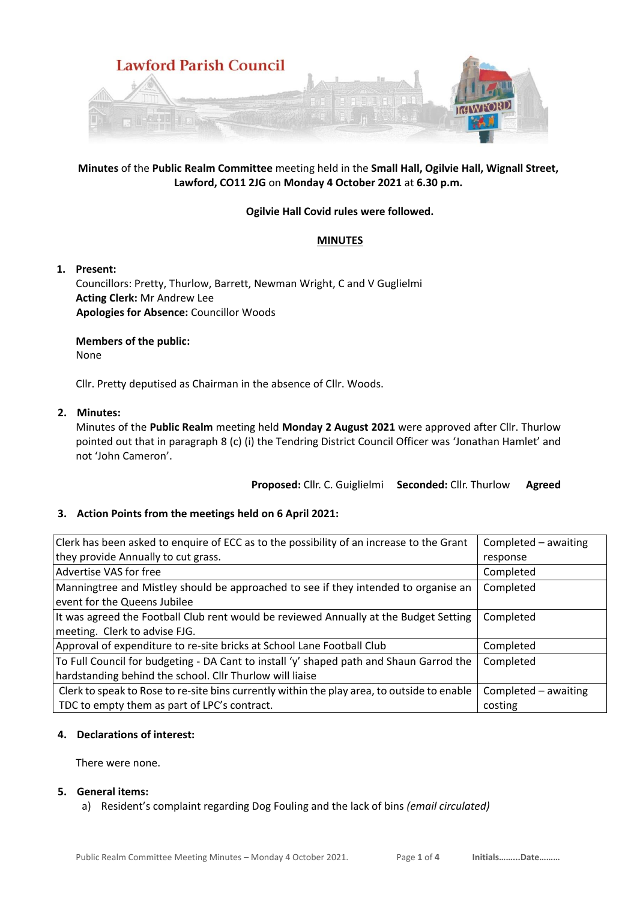

# **Minutes** of the **Public Realm Committee** meeting held in the **Small Hall, Ogilvie Hall, Wignall Street, Lawford, CO11 2JG** on **Monday 4 October 2021** at **6.30 p.m.**

# **Ogilvie Hall Covid rules were followed.**

## **MINUTES**

## **1. Present:**

Councillors: Pretty, Thurlow, Barrett, Newman Wright, C and V Guglielmi **Acting Clerk:** Mr Andrew Lee **Apologies for Absence:** Councillor Woods

## **Members of the public:**

None

Cllr. Pretty deputised as Chairman in the absence of Cllr. Woods.

## **2. Minutes:**

Minutes of the **Public Realm** meeting held **Monday 2 August 2021** were approved after Cllr. Thurlow pointed out that in paragraph 8 (c) (i) the Tendring District Council Officer was 'Jonathan Hamlet' and not 'John Cameron'.

**Proposed:** Cllr. C. Guiglielmi **Seconded:** Cllr. Thurlow **Agreed**

# **3. Action Points from the meetings held on 6 April 2021:**

| Clerk has been asked to enquire of ECC as to the possibility of an increase to the Grant    | Completed - awaiting |
|---------------------------------------------------------------------------------------------|----------------------|
| they provide Annually to cut grass.                                                         | response             |
| Advertise VAS for free                                                                      | Completed            |
| Manningtree and Mistley should be approached to see if they intended to organise an         | Completed            |
| event for the Queens Jubilee                                                                |                      |
| It was agreed the Football Club rent would be reviewed Annually at the Budget Setting       | Completed            |
| meeting. Clerk to advise FJG.                                                               |                      |
| Approval of expenditure to re-site bricks at School Lane Football Club                      | Completed            |
| To Full Council for budgeting - DA Cant to install 'y' shaped path and Shaun Garrod the     | Completed            |
| hardstanding behind the school. Cllr Thurlow will liaise                                    |                      |
| Clerk to speak to Rose to re-site bins currently within the play area, to outside to enable | Completed - awaiting |
| TDC to empty them as part of LPC's contract.                                                | costing              |

## **4. Declarations of interest:**

There were none.

## **5. General items:**

a) Resident's complaint regarding Dog Fouling and the lack of bins *(email circulated)*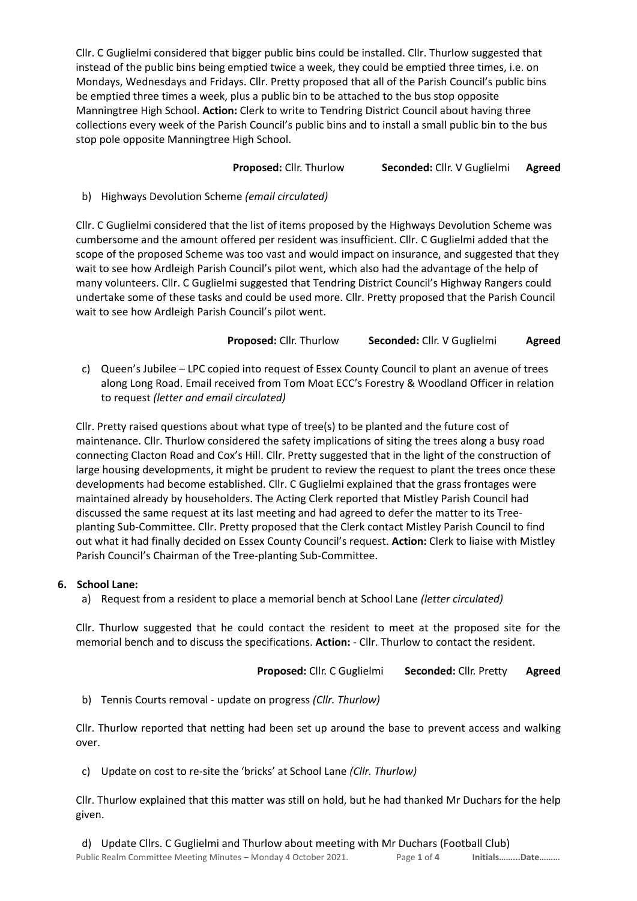Cllr. C Guglielmi considered that bigger public bins could be installed. Cllr. Thurlow suggested that instead of the public bins being emptied twice a week, they could be emptied three times, i.e. on Mondays, Wednesdays and Fridays. Cllr. Pretty proposed that all of the Parish Council's public bins be emptied three times a week, plus a public bin to be attached to the bus stop opposite Manningtree High School. **Action:** Clerk to write to Tendring District Council about having three collections every week of the Parish Council's public bins and to install a small public bin to the bus stop pole opposite Manningtree High School.

# **Proposed:** Cllr. Thurlow **Seconded:** Cllr. V Guglielmi **Agreed**

# b) Highways Devolution Scheme *(email circulated)*

Cllr. C Guglielmi considered that the list of items proposed by the Highways Devolution Scheme was cumbersome and the amount offered per resident was insufficient. Cllr. C Guglielmi added that the scope of the proposed Scheme was too vast and would impact on insurance, and suggested that they wait to see how Ardleigh Parish Council's pilot went, which also had the advantage of the help of many volunteers. Cllr. C Guglielmi suggested that Tendring District Council's Highway Rangers could undertake some of these tasks and could be used more. Cllr. Pretty proposed that the Parish Council wait to see how Ardleigh Parish Council's pilot went.

# **Proposed:** Cllr. Thurlow **Seconded:** Cllr. V Guglielmi **Agreed**

c) Queen's Jubilee – LPC copied into request of Essex County Council to plant an avenue of trees along Long Road. Email received from Tom Moat ECC's Forestry & Woodland Officer in relation to request *(letter and email circulated)*

Cllr. Pretty raised questions about what type of tree(s) to be planted and the future cost of maintenance. Cllr. Thurlow considered the safety implications of siting the trees along a busy road connecting Clacton Road and Cox's Hill. Cllr. Pretty suggested that in the light of the construction of large housing developments, it might be prudent to review the request to plant the trees once these developments had become established. Cllr. C Guglielmi explained that the grass frontages were maintained already by householders. The Acting Clerk reported that Mistley Parish Council had discussed the same request at its last meeting and had agreed to defer the matter to its Treeplanting Sub-Committee. Cllr. Pretty proposed that the Clerk contact Mistley Parish Council to find out what it had finally decided on Essex County Council's request. **Action:** Clerk to liaise with Mistley Parish Council's Chairman of the Tree-planting Sub-Committee.

# **6. School Lane:**

a) Request from a resident to place a memorial bench at School Lane *(letter circulated)*

Cllr. Thurlow suggested that he could contact the resident to meet at the proposed site for the memorial bench and to discuss the specifications. **Action:** - Cllr. Thurlow to contact the resident.

**Proposed:** Cllr. C Guglielmi **Seconded:** Cllr. Pretty **Agreed**

b) Tennis Courts removal - update on progress *(Cllr. Thurlow)*

Cllr. Thurlow reported that netting had been set up around the base to prevent access and walking over.

c) Update on cost to re-site the 'bricks' at School Lane *(Cllr. Thurlow)*

Cllr. Thurlow explained that this matter was still on hold, but he had thanked Mr Duchars for the help given.